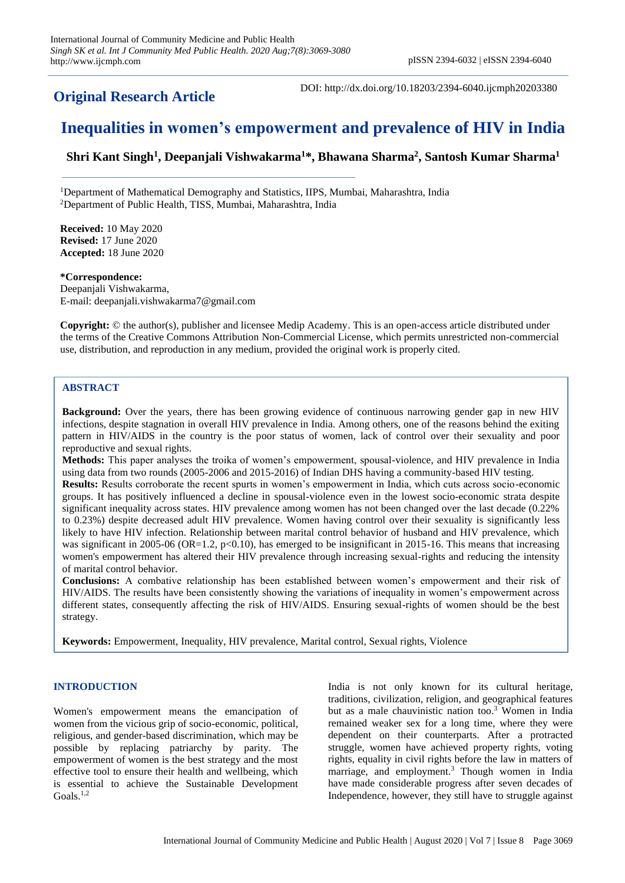**Original Research Article**

DOI: http://dx.doi.org/10.18203/2394-6040.ijcmph20203380

# **Inequalities in women's empowerment and prevalence of HIV in India**

**Shri Kant Singh<sup>1</sup> , Deepanjali Vishwakarma<sup>1</sup>\*, Bhawana Sharma<sup>2</sup> , Santosh Kumar Sharma<sup>1</sup>**

<sup>1</sup>Department of Mathematical Demography and Statistics, IIPS, Mumbai, Maharashtra, India <sup>2</sup>Department of Public Health, TISS, Mumbai, Maharashtra, India

**Received:** 10 May 2020 **Revised:** 17 June 2020 **Accepted:** 18 June 2020

**\*Correspondence:** Deepanjali Vishwakarma, E-mail: deepanjali.vishwakarma7@gmail.com

**Copyright:** © the author(s), publisher and licensee Medip Academy. This is an open-access article distributed under the terms of the Creative Commons Attribution Non-Commercial License, which permits unrestricted non-commercial use, distribution, and reproduction in any medium, provided the original work is properly cited.

# **ABSTRACT**

**Background:** Over the years, there has been growing evidence of continuous narrowing gender gap in new HIV infections, despite stagnation in overall HIV prevalence in India. Among others, one of the reasons behind the exiting pattern in HIV/AIDS in the country is the poor status of women, lack of control over their sexuality and poor reproductive and sexual rights.

**Methods:** This paper analyses the troika of women's empowerment, spousal-violence, and HIV prevalence in India using data from two rounds (2005-2006 and 2015-2016) of Indian DHS having a community-based HIV testing.

**Results:** Results corroborate the recent spurts in women's empowerment in India, which cuts across socio-economic groups. It has positively influenced a decline in spousal-violence even in the lowest socio-economic strata despite significant inequality across states. HIV prevalence among women has not been changed over the last decade (0.22% to 0.23%) despite decreased adult HIV prevalence. Women having control over their sexuality is significantly less likely to have HIV infection. Relationship between marital control behavior of husband and HIV prevalence, which was significant in 2005-06 (OR=1.2,  $p<0.10$ ), has emerged to be insignificant in 2015-16. This means that increasing women's empowerment has altered their HIV prevalence through increasing sexual-rights and reducing the intensity of marital control behavior.

**Conclusions:** A combative relationship has been established between women's empowerment and their risk of HIV/AIDS. The results have been consistently showing the variations of inequality in women's empowerment across different states, consequently affecting the risk of HIV/AIDS. Ensuring sexual-rights of women should be the best strategy.

**Keywords:** Empowerment, Inequality, HIV prevalence, Marital control, Sexual rights, Violence

# **INTRODUCTION**

Women's empowerment means the emancipation of women from the vicious grip of socio-economic, political, religious, and gender-based discrimination, which may be possible by replacing patriarchy by parity. The empowerment of women is the best strategy and the most effective tool to ensure their health and wellbeing, which is essential to achieve the Sustainable Development Goals. 1,2

India is not only known for its cultural heritage, traditions, civilization, religion, and geographical features but as a male chauvinistic nation too.<sup>3</sup> Women in India remained weaker sex for a long time, where they were dependent on their counterparts. After a protracted struggle, women have achieved property rights, voting rights, equality in civil rights before the law in matters of marriage, and employment. <sup>3</sup> Though women in India have made considerable progress after seven decades of Independence, however, they still have to struggle against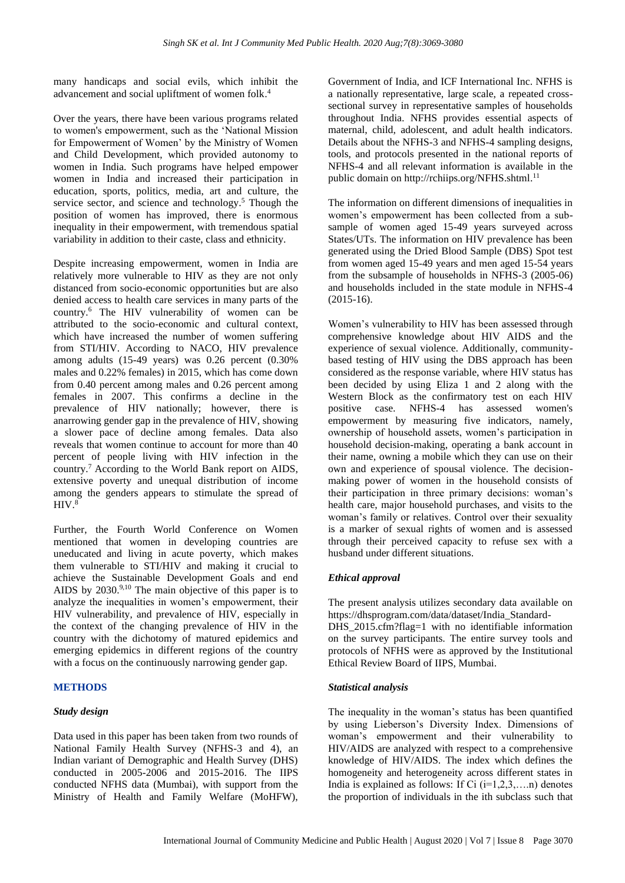many handicaps and social evils, which inhibit the advancement and social upliftment of women folk. 4

Over the years, there have been various programs related to women's empowerment, such as the 'National Mission for Empowerment of Women' by the Ministry of Women and Child Development, which provided autonomy to women in India. Such programs have helped empower women in India and increased their participation in education, sports, politics, media, art and culture, the service sector, and science and technology.<sup>5</sup> Though the position of women has improved, there is enormous inequality in their empowerment, with tremendous spatial variability in addition to their caste, class and ethnicity.

Despite increasing empowerment, women in India are relatively more vulnerable to HIV as they are not only distanced from socio-economic opportunities but are also denied access to health care services in many parts of the country. <sup>6</sup> The HIV vulnerability of women can be attributed to the socio-economic and cultural context, which have increased the number of women suffering from STI/HIV. According to NACO, HIV prevalence among adults (15-49 years) was 0.26 percent (0.30% males and 0.22% females) in 2015, which has come down from 0.40 percent among males and 0.26 percent among females in 2007. This confirms a decline in the prevalence of HIV nationally; however, there is anarrowing gender gap in the prevalence of HIV, showing a slower pace of decline among females. Data also reveals that women continue to account for more than 40 percent of people living with HIV infection in the country. <sup>7</sup> According to the World Bank report on AIDS, extensive poverty and unequal distribution of income among the genders appears to stimulate the spread of HIV. 8

Further, the Fourth World Conference on Women mentioned that women in developing countries are uneducated and living in acute poverty, which makes them vulnerable to STI/HIV and making it crucial to achieve the Sustainable Development Goals and end AIDS by  $2030^{9,10}$  The main objective of this paper is to analyze the inequalities in women's empowerment, their HIV vulnerability, and prevalence of HIV, especially in the context of the changing prevalence of HIV in the country with the dichotomy of matured epidemics and emerging epidemics in different regions of the country with a focus on the continuously narrowing gender gap.

# **METHODS**

# *Study design*

Data used in this paper has been taken from two rounds of National Family Health Survey (NFHS-3 and 4), an Indian variant of Demographic and Health Survey (DHS) conducted in 2005-2006 and 2015-2016. The IIPS conducted NFHS data (Mumbai), with support from the Ministry of Health and Family Welfare (MoHFW),

Government of India, and ICF International Inc. NFHS is a nationally representative, large scale, a repeated crosssectional survey in representative samples of households throughout India. NFHS provides essential aspects of maternal, child, adolescent, and adult health indicators. Details about the NFHS-3 and NFHS-4 sampling designs, tools, and protocols presented in the national reports of NFHS-4 and all relevant information is available in the public domain on http://rchiips.org/NFHS.shtml.<sup>11</sup>

The information on different dimensions of inequalities in women's empowerment has been collected from a subsample of women aged 15-49 years surveyed across States/UTs. The information on HIV prevalence has been generated using the Dried Blood Sample (DBS) Spot test from women aged 15-49 years and men aged 15-54 years from the subsample of households in NFHS-3 (2005-06) and households included in the state module in NFHS-4 (2015-16).

Women's vulnerability to HIV has been assessed through comprehensive knowledge about HIV AIDS and the experience of sexual violence. Additionally, communitybased testing of HIV using the DBS approach has been considered as the response variable, where HIV status has been decided by using Eliza 1 and 2 along with the Western Block as the confirmatory test on each HIV positive case. NFHS-4 has assessed women's empowerment by measuring five indicators, namely, ownership of household assets, women's participation in household decision-making, operating a bank account in their name, owning a mobile which they can use on their own and experience of spousal violence. The decisionmaking power of women in the household consists of their participation in three primary decisions: woman's health care, major household purchases, and visits to the woman's family or relatives. Control over their sexuality is a marker of sexual rights of women and is assessed through their perceived capacity to refuse sex with a husband under different situations.

# *Ethical approval*

The present analysis utilizes secondary data available on https://dhsprogram.com/data/dataset/India\_Standard-DHS 2015.cfm?flag=1 with no identifiable information on the survey participants. The entire survey tools and protocols of NFHS were as approved by the Institutional Ethical Review Board of IIPS, Mumbai.

#### *Statistical analysis*

The inequality in the woman's status has been quantified by using Lieberson's Diversity Index. Dimensions of woman's empowerment and their vulnerability to HIV/AIDS are analyzed with respect to a comprehensive knowledge of HIV/AIDS. The index which defines the homogeneity and heterogeneity across different states in India is explained as follows: If Ci  $(i=1,2,3,...n)$  denotes the proportion of individuals in the ith subclass such that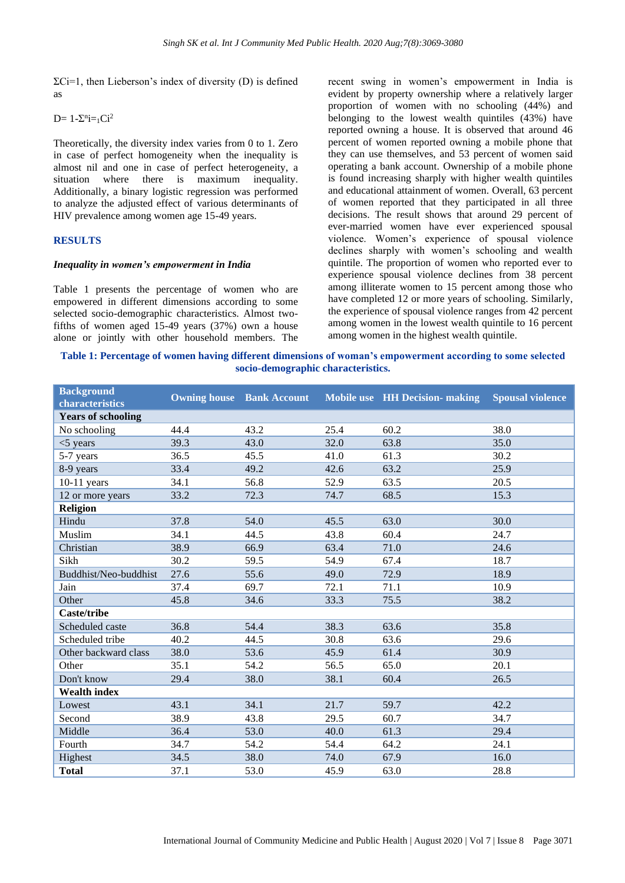$\Sigma$ Ci=1, then Lieberson's index of diversity (D) is defined as

 $D= 1 - \sum_{i=1}^{n} C_i^2$ 

Theoretically, the diversity index varies from 0 to 1. Zero in case of perfect homogeneity when the inequality is almost nil and one in case of perfect heterogeneity, a situation where there is maximum inequality. Additionally, a binary logistic regression was performed to analyze the adjusted effect of various determinants of HIV prevalence among women age 15-49 years.

#### **RESULTS**

#### *Inequality in women's empowerment in India*

Table 1 presents the percentage of women who are empowered in different dimensions according to some selected socio-demographic characteristics. Almost twofifths of women aged 15-49 years (37%) own a house alone or jointly with other household members. The

recent swing in women's empowerment in India is evident by property ownership where a relatively larger proportion of women with no schooling (44%) and belonging to the lowest wealth quintiles (43%) have reported owning a house. It is observed that around 46 percent of women reported owning a mobile phone that they can use themselves, and 53 percent of women said operating a bank account. Ownership of a mobile phone is found increasing sharply with higher wealth quintiles and educational attainment of women. Overall, 63 percent of women reported that they participated in all three decisions. The result shows that around 29 percent of ever-married women have ever experienced spousal violence. Women's experience of spousal violence declines sharply with women's schooling and wealth quintile. The proportion of women who reported ever to experience spousal violence declines from 38 percent among illiterate women to 15 percent among those who have completed 12 or more years of schooling. Similarly, the experience of spousal violence ranges from 42 percent among women in the lowest wealth quintile to 16 percent among women in the highest wealth quintile.

**Table 1: Percentage of women having different dimensions of woman's empowerment according to some selected socio-demographic characteristics.**

| <b>Background</b><br>characteristics |      |      |      | <b>Owning house</b> Bank Account Mobile use HH Decision-making | <b>Spousal violence</b> |
|--------------------------------------|------|------|------|----------------------------------------------------------------|-------------------------|
| <b>Years of schooling</b>            |      |      |      |                                                                |                         |
| No schooling                         | 44.4 | 43.2 | 25.4 | 60.2                                                           | 38.0                    |
| $<$ 5 years                          | 39.3 | 43.0 | 32.0 | 63.8                                                           | 35.0                    |
| 5-7 years                            | 36.5 | 45.5 | 41.0 | 61.3                                                           | 30.2                    |
| 8-9 years                            | 33.4 | 49.2 | 42.6 | 63.2                                                           | 25.9                    |
| $10-11$ years                        | 34.1 | 56.8 | 52.9 | 63.5                                                           | 20.5                    |
| 12 or more years                     | 33.2 | 72.3 | 74.7 | 68.5                                                           | 15.3                    |
| <b>Religion</b>                      |      |      |      |                                                                |                         |
| Hindu                                | 37.8 | 54.0 | 45.5 | 63.0                                                           | 30.0                    |
| Muslim                               | 34.1 | 44.5 | 43.8 | 60.4                                                           | 24.7                    |
| Christian                            | 38.9 | 66.9 | 63.4 | 71.0                                                           | 24.6                    |
| Sikh                                 | 30.2 | 59.5 | 54.9 | 67.4                                                           | 18.7                    |
| Buddhist/Neo-buddhist                | 27.6 | 55.6 | 49.0 | 72.9                                                           | 18.9                    |
| Jain                                 | 37.4 | 69.7 | 72.1 | 71.1                                                           | 10.9                    |
| Other                                | 45.8 | 34.6 | 33.3 | 75.5                                                           | 38.2                    |
| Caste/tribe                          |      |      |      |                                                                |                         |
| Scheduled caste                      | 36.8 | 54.4 | 38.3 | 63.6                                                           | 35.8                    |
| Scheduled tribe                      | 40.2 | 44.5 | 30.8 | 63.6                                                           | 29.6                    |
| Other backward class                 | 38.0 | 53.6 | 45.9 | 61.4                                                           | 30.9                    |
| Other                                | 35.1 | 54.2 | 56.5 | 65.0                                                           | 20.1                    |
| Don't know                           | 29.4 | 38.0 | 38.1 | 60.4                                                           | 26.5                    |
| <b>Wealth index</b>                  |      |      |      |                                                                |                         |
| Lowest                               | 43.1 | 34.1 | 21.7 | 59.7                                                           | 42.2                    |
| Second                               | 38.9 | 43.8 | 29.5 | 60.7                                                           | 34.7                    |
| Middle                               | 36.4 | 53.0 | 40.0 | 61.3                                                           | 29.4                    |
| Fourth                               | 34.7 | 54.2 | 54.4 | 64.2                                                           | 24.1                    |
| Highest                              | 34.5 | 38.0 | 74.0 | 67.9                                                           | 16.0                    |
| <b>Total</b>                         | 37.1 | 53.0 | 45.9 | 63.0                                                           | 28.8                    |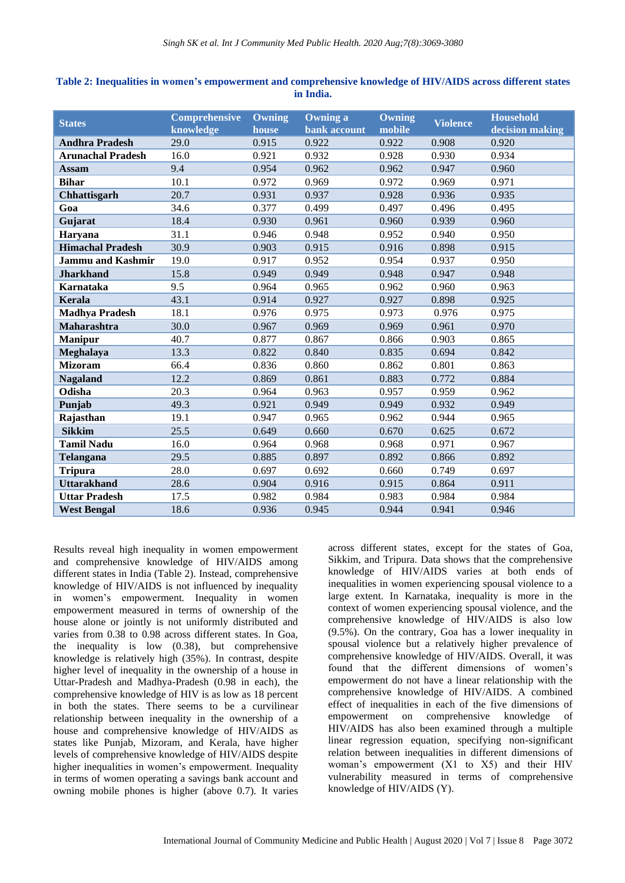| <b>States</b>            | <b>Comprehensive</b><br>knowledge | Owning<br>house | <b>Owning a</b><br>bank account | Owning<br>mobile | <b>Violence</b> | <b>Household</b><br>decision making |
|--------------------------|-----------------------------------|-----------------|---------------------------------|------------------|-----------------|-------------------------------------|
| <b>Andhra Pradesh</b>    | 29.0                              | 0.915           | 0.922                           | 0.922            | 0.908           | 0.920                               |
| <b>Arunachal Pradesh</b> | 16.0                              | 0.921           | 0.932                           | 0.928            | 0.930           | 0.934                               |
| <b>Assam</b>             | 9.4                               | 0.954           | 0.962                           | 0.962            | 0.947           | 0.960                               |
| <b>Bihar</b>             | 10.1                              | 0.972           | 0.969                           | 0.972            | 0.969           | 0.971                               |
| Chhattisgarh             | 20.7                              | 0.931           | 0.937                           | 0.928            | 0.936           | 0.935                               |
| Goa                      | 34.6                              | 0.377           | 0.499                           | 0.497            | 0.496           | 0.495                               |
| Gujarat                  | 18.4                              | 0.930           | 0.961                           | 0.960            | 0.939           | 0.960                               |
| Haryana                  | 31.1                              | 0.946           | 0.948                           | 0.952            | 0.940           | 0.950                               |
| <b>Himachal Pradesh</b>  | 30.9                              | 0.903           | 0.915                           | 0.916            | 0.898           | 0.915                               |
| <b>Jammu and Kashmir</b> | 19.0                              | 0.917           | 0.952                           | 0.954            | 0.937           | 0.950                               |
| <b>Jharkhand</b>         | 15.8                              | 0.949           | 0.949                           | 0.948            | 0.947           | 0.948                               |
| Karnataka                | 9.5                               | 0.964           | 0.965                           | 0.962            | 0.960           | 0.963                               |
| Kerala                   | 43.1                              | 0.914           | 0.927                           | 0.927            | 0.898           | 0.925                               |
| <b>Madhya Pradesh</b>    | 18.1                              | 0.976           | 0.975                           | 0.973            | 0.976           | 0.975                               |
| Maharashtra              | 30.0                              | 0.967           | 0.969                           | 0.969            | 0.961           | 0.970                               |
| <b>Manipur</b>           | 40.7                              | 0.877           | 0.867                           | 0.866            | 0.903           | 0.865                               |
| Meghalaya                | 13.3                              | 0.822           | 0.840                           | 0.835            | 0.694           | 0.842                               |
| <b>Mizoram</b>           | 66.4                              | 0.836           | 0.860                           | 0.862            | 0.801           | 0.863                               |
| <b>Nagaland</b>          | 12.2                              | 0.869           | 0.861                           | 0.883            | 0.772           | 0.884                               |
| Odisha                   | 20.3                              | 0.964           | 0.963                           | 0.957            | 0.959           | 0.962                               |
| Punjab                   | 49.3                              | 0.921           | 0.949                           | 0.949            | 0.932           | 0.949                               |
| Rajasthan                | 19.1                              | 0.947           | 0.965                           | 0.962            | 0.944           | 0.965                               |
| <b>Sikkim</b>            | 25.5                              | 0.649           | 0.660                           | 0.670            | 0.625           | 0.672                               |
| <b>Tamil Nadu</b>        | 16.0                              | 0.964           | 0.968                           | 0.968            | 0.971           | 0.967                               |
| Telangana                | 29.5                              | 0.885           | 0.897                           | 0.892            | 0.866           | 0.892                               |
| <b>Tripura</b>           | 28.0                              | 0.697           | 0.692                           | 0.660            | 0.749           | 0.697                               |
| <b>Uttarakhand</b>       | 28.6                              | 0.904           | 0.916                           | 0.915            | 0.864           | 0.911                               |
| <b>Uttar Pradesh</b>     | 17.5                              | 0.982           | 0.984                           | 0.983            | 0.984           | 0.984                               |
| <b>West Bengal</b>       | 18.6                              | 0.936           | 0.945                           | 0.944            | 0.941           | 0.946                               |

**Table 2: Inequalities in women's empowerment and comprehensive knowledge of HIV/AIDS across different states in India.**

Results reveal high inequality in women empowerment and comprehensive knowledge of HIV/AIDS among different states in India (Table 2). Instead, comprehensive knowledge of HIV/AIDS is not influenced by inequality in women's empowerment. Inequality in women empowerment measured in terms of ownership of the house alone or jointly is not uniformly distributed and varies from 0.38 to 0.98 across different states. In Goa, the inequality is low (0.38), but comprehensive knowledge is relatively high (35%). In contrast, despite higher level of inequality in the ownership of a house in Uttar-Pradesh and Madhya-Pradesh (0.98 in each), the comprehensive knowledge of HIV is as low as 18 percent in both the states. There seems to be a curvilinear relationship between inequality in the ownership of a house and comprehensive knowledge of HIV/AIDS as states like Punjab, Mizoram, and Kerala, have higher levels of comprehensive knowledge of HIV/AIDS despite higher inequalities in women's empowerment. Inequality in terms of women operating a savings bank account and owning mobile phones is higher (above 0.7). It varies

across different states, except for the states of Goa, Sikkim, and Tripura. Data shows that the comprehensive knowledge of HIV/AIDS varies at both ends of inequalities in women experiencing spousal violence to a large extent. In Karnataka, inequality is more in the context of women experiencing spousal violence, and the comprehensive knowledge of HIV/AIDS is also low (9.5%). On the contrary, Goa has a lower inequality in spousal violence but a relatively higher prevalence of comprehensive knowledge of HIV/AIDS. Overall, it was found that the different dimensions of women's empowerment do not have a linear relationship with the comprehensive knowledge of HIV/AIDS. A combined effect of inequalities in each of the five dimensions of empowerment on comprehensive knowledge of HIV/AIDS has also been examined through a multiple linear regression equation, specifying non-significant relation between inequalities in different dimensions of woman's empowerment (X1 to X5) and their HIV vulnerability measured in terms of comprehensive knowledge of HIV/AIDS (Y).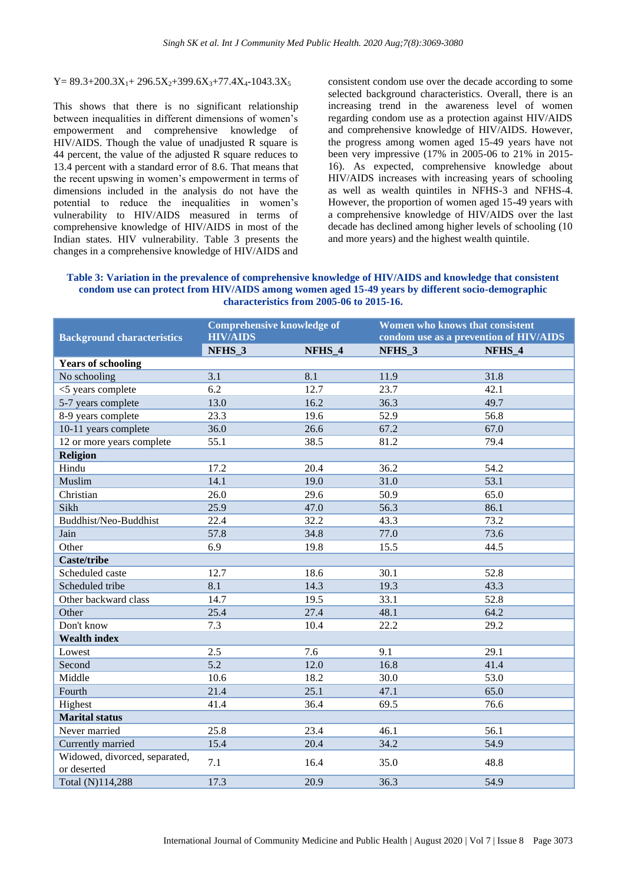## $Y= 89.3+200.3X_1+ 296.5X_2+399.6X_3+77.4X_4-1043.3X_5$

This shows that there is no significant relationship between inequalities in different dimensions of women's empowerment and comprehensive knowledge of HIV/AIDS. Though the value of unadjusted R square is 44 percent, the value of the adjusted R square reduces to 13.4 percent with a standard error of 8.6. That means that the recent upswing in women's empowerment in terms of dimensions included in the analysis do not have the potential to reduce the inequalities in women's vulnerability to HIV/AIDS measured in terms of comprehensive knowledge of HIV/AIDS in most of the Indian states. HIV vulnerability. Table 3 presents the changes in a comprehensive knowledge of HIV/AIDS and

consistent condom use over the decade according to some selected background characteristics. Overall, there is an increasing trend in the awareness level of women regarding condom use as a protection against HIV/AIDS and comprehensive knowledge of HIV/AIDS. However, the progress among women aged 15-49 years have not been very impressive (17% in 2005-06 to 21% in 2015- 16). As expected, comprehensive knowledge about HIV/AIDS increases with increasing years of schooling as well as wealth quintiles in NFHS-3 and NFHS-4. However, the proportion of women aged 15-49 years with a comprehensive knowledge of HIV/AIDS over the last decade has declined among higher levels of schooling (10 and more years) and the highest wealth quintile.

**Table 3: Variation in the prevalence of comprehensive knowledge of HIV/AIDS and knowledge that consistent condom use can protect from HIV/AIDS among women aged 15-49 years by different socio-demographic characteristics from 2005-06 to 2015-16.**

|                                   | <b>Comprehensive knowledge of</b> |        | Women who knows that consistent        |        |
|-----------------------------------|-----------------------------------|--------|----------------------------------------|--------|
| <b>Background characteristics</b> | <b>HIV/AIDS</b>                   |        | condom use as a prevention of HIV/AIDS |        |
|                                   | NFHS_3                            | NFHS_4 | NFHS_3                                 | NFHS_4 |
| <b>Years of schooling</b>         |                                   |        |                                        |        |
| No schooling                      | 3.1                               | 8.1    | 11.9                                   | 31.8   |
| <5 years complete                 | 6.2                               | 12.7   | 23.7                                   | 42.1   |
| 5-7 years complete                | 13.0                              | 16.2   | 36.3                                   | 49.7   |
| 8-9 years complete                | 23.3                              | 19.6   | 52.9                                   | 56.8   |
| 10-11 years complete              | 36.0                              | 26.6   | 67.2                                   | 67.0   |
| 12 or more years complete         | 55.1                              | 38.5   | 81.2                                   | 79.4   |
| <b>Religion</b>                   |                                   |        |                                        |        |
| Hindu                             | 17.2                              | 20.4   | 36.2                                   | 54.2   |
| Muslim                            | 14.1                              | 19.0   | 31.0                                   | 53.1   |
| Christian                         | 26.0                              | 29.6   | 50.9                                   | 65.0   |
| Sikh                              | 25.9                              | 47.0   | 56.3                                   | 86.1   |
| Buddhist/Neo-Buddhist             | 22.4                              | 32.2   | 43.3                                   | 73.2   |
| Jain                              | 57.8                              | 34.8   | 77.0                                   | 73.6   |
| Other                             | 6.9                               | 19.8   | 15.5                                   | 44.5   |
| <b>Caste/tribe</b>                |                                   |        |                                        |        |
| Scheduled caste                   | 12.7                              | 18.6   | 30.1                                   | 52.8   |
| Scheduled tribe                   | 8.1                               | 14.3   | 19.3                                   | 43.3   |
| Other backward class              | 14.7                              | 19.5   | 33.1                                   | 52.8   |
| Other                             | 25.4                              | 27.4   | 48.1                                   | 64.2   |
| Don't know                        | 7.3                               | 10.4   | 22.2                                   | 29.2   |
| <b>Wealth index</b>               |                                   |        |                                        |        |
| Lowest                            | 2.5                               | 7.6    | 9.1                                    | 29.1   |
| Second                            | 5.2                               | 12.0   | 16.8                                   | 41.4   |
| Middle                            | 10.6                              | 18.2   | 30.0                                   | 53.0   |
| Fourth                            | 21.4                              | 25.1   | 47.1                                   | 65.0   |
| Highest                           | 41.4                              | 36.4   | 69.5                                   | 76.6   |
| <b>Marital status</b>             |                                   |        |                                        |        |
| Never married                     | 25.8                              | 23.4   | 46.1                                   | 56.1   |
| Currently married                 | 15.4                              | 20.4   | 34.2                                   | 54.9   |
| Widowed, divorced, separated,     |                                   |        |                                        |        |
| or deserted                       | 7.1                               | 16.4   | 35.0                                   | 48.8   |
| Total (N)114,288                  | 17.3                              | 20.9   | 36.3                                   | 54.9   |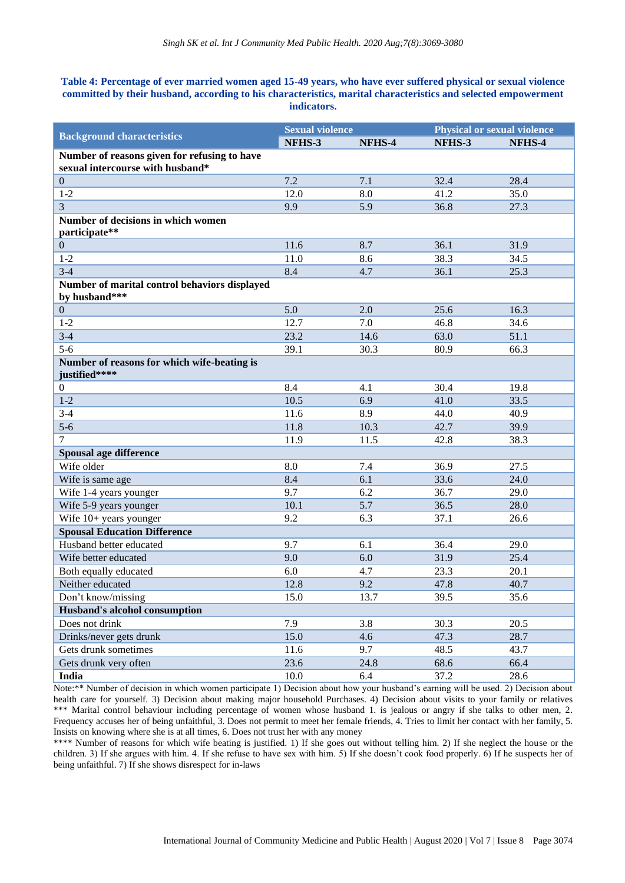## **Table 4: Percentage of ever married women aged 15-49 years, who have ever suffered physical or sexual violence committed by their husband, according to his characteristics, marital characteristics and selected empowerment indicators.**

|                                                                | <b>Sexual violence</b> |        | <b>Physical or sexual violence</b> |        |
|----------------------------------------------------------------|------------------------|--------|------------------------------------|--------|
| <b>Background characteristics</b>                              | NFHS-3                 | NFHS-4 | NFHS-3                             | NFHS-4 |
| Number of reasons given for refusing to have                   |                        |        |                                    |        |
| sexual intercourse with husband*                               |                        |        |                                    |        |
| $\boldsymbol{0}$                                               | 7.2                    | 7.1    | 32.4                               | 28.4   |
| $1 - 2$                                                        | 12.0                   | 8.0    | 41.2                               | 35.0   |
| $\overline{3}$                                                 | 9.9                    | 5.9    | 36.8                               | 27.3   |
| Number of decisions in which women                             |                        |        |                                    |        |
| participate**                                                  |                        |        |                                    |        |
| $\boldsymbol{0}$                                               | 11.6                   | 8.7    | 36.1                               | 31.9   |
| $1 - 2$                                                        | 11.0                   | 8.6    | 38.3                               | 34.5   |
| $3 - 4$                                                        | 8.4                    | 4.7    | 36.1                               | 25.3   |
| Number of marital control behaviors displayed<br>by husband*** |                        |        |                                    |        |
| $\mathbf{0}$                                                   | 5.0                    | 2.0    | 25.6                               | 16.3   |
| $1 - 2$                                                        | 12.7                   | 7.0    | 46.8                               | 34.6   |
| $3 - 4$                                                        | 23.2                   | 14.6   | 63.0                               | 51.1   |
| $5 - 6$                                                        | 39.1                   | 30.3   | 80.9                               | 66.3   |
| Number of reasons for which wife-beating is<br>justified****   |                        |        |                                    |        |
| $\boldsymbol{0}$                                               | 8.4                    | 4.1    | 30.4                               | 19.8   |
| $1-2$                                                          | 10.5                   | 6.9    | 41.0                               | 33.5   |
| $3 - 4$                                                        | 11.6                   | 8.9    | 44.0                               | 40.9   |
| $5-6$                                                          | 11.8                   | 10.3   | 42.7                               | 39.9   |
| $\overline{7}$                                                 | 11.9                   | 11.5   | 42.8                               | 38.3   |
| Spousal age difference                                         |                        |        |                                    |        |
| Wife older                                                     | 8.0                    | 7.4    | 36.9                               | 27.5   |
| Wife is same age                                               | 8.4                    | 6.1    | 33.6                               | 24.0   |
| Wife 1-4 years younger                                         | 9.7                    | 6.2    | 36.7                               | 29.0   |
| Wife 5-9 years younger                                         | 10.1                   | 5.7    | 36.5                               | 28.0   |
| Wife 10+ years younger                                         | 9.2                    | 6.3    | 37.1                               | 26.6   |
| <b>Spousal Education Difference</b>                            |                        |        |                                    |        |
| Husband better educated                                        | 9.7                    | 6.1    | 36.4                               | 29.0   |
| Wife better educated                                           | 9.0                    | 6.0    | 31.9                               | 25.4   |
| Both equally educated                                          | 6.0                    | 4.7    | 23.3                               | 20.1   |
| Neither educated                                               | 12.8                   | 9.2    | 47.8                               | 40.7   |
| Don't know/missing                                             | 15.0                   | 13.7   | 39.5                               | 35.6   |
| Husband's alcohol consumption                                  |                        |        |                                    |        |
| Does not drink                                                 | 7.9                    | 3.8    | 30.3                               | 20.5   |
| Drinks/never gets drunk                                        | 15.0                   | 4.6    | 47.3                               | 28.7   |
| Gets drunk sometimes                                           | 11.6                   | 9.7    | 48.5                               | 43.7   |
| Gets drunk very often                                          | 23.6                   | 24.8   | 68.6                               | 66.4   |
| India                                                          | 10.0                   | 6.4    | 37.2                               | 28.6   |

Note:\*\* Number of decision in which women participate 1) Decision about how your husband's earning will be used. 2) Decision about health care for yourself. 3) Decision about making major household Purchases. 4) Decision about visits to your family or relatives \*\*\* Marital control behaviour including percentage of women whose husband 1. is jealous or angry if she talks to other men, 2. Frequency accuses her of being unfaithful, 3. Does not permit to meet her female friends, 4. Tries to limit her contact with her family, 5. Insists on knowing where she is at all times, 6. Does not trust her with any money

\*\*\*\* Number of reasons for which wife beating is justified. 1) If she goes out without telling him. 2) If she neglect the house or the children. 3) If she argues with him. 4. If she refuse to have sex with him. 5) If she doesn't cook food properly. 6) If he suspects her of being unfaithful. 7) If she shows disrespect for in-laws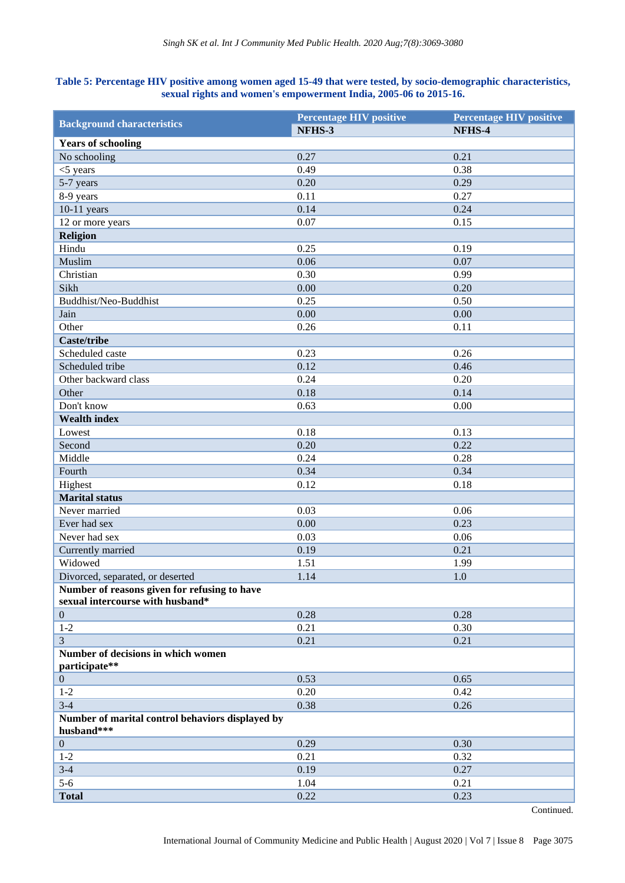# **Table 5: Percentage HIV positive among women aged 15-49 that were tested, by socio-demographic characteristics, sexual rights and women's empowerment India, 2005-06 to 2015-16.**

| <b>Background characteristics</b>                              | <b>Percentage HIV positive</b> | <b>Percentage HIV positive</b> |
|----------------------------------------------------------------|--------------------------------|--------------------------------|
|                                                                | NFHS-3                         | NFHS-4                         |
| <b>Years of schooling</b>                                      |                                |                                |
| No schooling                                                   | 0.27                           | 0.21                           |
| $<$ 5 years                                                    | 0.49                           | 0.38                           |
| 5-7 years                                                      | 0.20                           | 0.29                           |
| 8-9 years                                                      | 0.11                           | 0.27                           |
| $10-11$ years                                                  | 0.14                           | 0.24                           |
| 12 or more years                                               | 0.07                           | 0.15                           |
| <b>Religion</b>                                                |                                |                                |
| Hindu                                                          | 0.25                           | 0.19                           |
| Muslim                                                         | 0.06                           | 0.07                           |
| Christian                                                      | 0.30                           | 0.99                           |
| Sikh                                                           | 0.00                           | 0.20                           |
| Buddhist/Neo-Buddhist                                          | 0.25                           | 0.50                           |
| Jain                                                           | 0.00                           | 0.00                           |
| Other                                                          | 0.26                           | 0.11                           |
| <b>Caste/tribe</b>                                             |                                |                                |
| Scheduled caste                                                | 0.23                           | 0.26                           |
| Scheduled tribe                                                | 0.12                           | 0.46                           |
| Other backward class                                           | 0.24                           | 0.20                           |
| Other                                                          | 0.18                           | 0.14                           |
| Don't know                                                     | 0.63                           | 0.00                           |
| <b>Wealth index</b>                                            |                                |                                |
| Lowest                                                         | 0.18                           | 0.13                           |
| Second                                                         | 0.20                           | 0.22                           |
| Middle                                                         | 0.24                           | 0.28                           |
| Fourth                                                         | 0.34                           | 0.34                           |
| Highest                                                        | 0.12                           | 0.18                           |
| <b>Marital</b> status                                          |                                |                                |
| Never married                                                  | 0.03                           | 0.06                           |
| Ever had sex                                                   | 0.00                           | 0.23                           |
| Never had sex                                                  | 0.03                           | 0.06                           |
| Currently married                                              | 0.19                           | 0.21                           |
| Widowed                                                        | 1.51                           | 1.99                           |
| Divorced, separated, or deserted                               | 1.14                           | $1.0\,$                        |
| Number of reasons given for refusing to have                   |                                |                                |
| sexual intercourse with husband*                               |                                |                                |
| $\mathbf{0}$                                                   | 0.28                           | 0.28                           |
| $1 - 2$                                                        | 0.21                           | 0.30                           |
| $\overline{3}$                                                 | 0.21                           | 0.21                           |
| Number of decisions in which women<br>participate**            |                                |                                |
| $\overline{0}$                                                 | 0.53                           | 0.65                           |
| $1 - 2$                                                        | 0.20                           | 0.42                           |
| $3-4$                                                          | 0.38                           | 0.26                           |
| Number of marital control behaviors displayed by<br>husband*** |                                |                                |
| $\boldsymbol{0}$                                               | 0.29                           | 0.30                           |
| $1 - 2$                                                        | 0.21                           | 0.32                           |
| $3-4$                                                          | 0.19                           | 0.27                           |
| $5-6$                                                          | 1.04                           | 0.21                           |
| <b>Total</b>                                                   | 0.22                           | 0.23                           |
|                                                                |                                |                                |

Continued.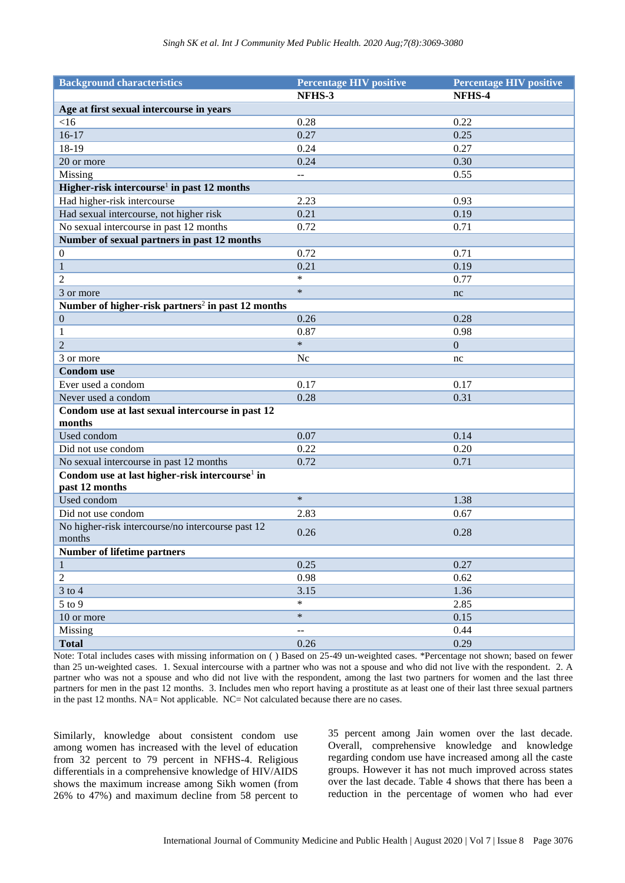| <b>Background characteristics</b>                                            | <b>Percentage HIV positive</b> | <b>Percentage HIV positive</b> |
|------------------------------------------------------------------------------|--------------------------------|--------------------------------|
|                                                                              | NFHS-3                         | NFHS-4                         |
| Age at first sexual intercourse in years                                     |                                |                                |
| $<$ 16                                                                       | 0.28                           | 0.22                           |
| $16-17$                                                                      | 0.27                           | 0.25                           |
| 18-19                                                                        | 0.24                           | 0.27                           |
| 20 or more                                                                   | 0.24                           | 0.30                           |
| Missing                                                                      | ЦL.                            | 0.55                           |
| Higher-risk intercourse <sup>1</sup> in past 12 months                       |                                |                                |
| Had higher-risk intercourse                                                  | 2.23                           | 0.93                           |
| Had sexual intercourse, not higher risk                                      | 0.21                           | 0.19                           |
| No sexual intercourse in past 12 months                                      | 0.72                           | 0.71                           |
| Number of sexual partners in past 12 months                                  |                                |                                |
| $\boldsymbol{0}$                                                             | 0.72                           | 0.71                           |
| $\mathbf{1}$                                                                 | 0.21                           | 0.19                           |
| 2                                                                            | $\ast$                         | 0.77                           |
| 3 or more                                                                    | $\ast$                         | nc                             |
| Number of higher-risk partners <sup>2</sup> in past 12 months                |                                |                                |
| $\boldsymbol{0}$                                                             | 0.26                           | 0.28                           |
| 1                                                                            | 0.87                           | 0.98                           |
| $\overline{2}$                                                               | $\ast$                         | $\mathbf{0}$                   |
| 3 or more                                                                    | Nc                             | nc                             |
| <b>Condom</b> use                                                            |                                |                                |
| Ever used a condom                                                           | 0.17                           | 0.17                           |
| Never used a condom                                                          | 0.28                           | 0.31                           |
| Condom use at last sexual intercourse in past 12                             |                                |                                |
| months                                                                       |                                |                                |
| Used condom                                                                  | 0.07                           | 0.14                           |
| Did not use condom                                                           | 0.22                           | 0.20                           |
| No sexual intercourse in past 12 months                                      | 0.72                           | 0.71                           |
| Condom use at last higher-risk intercourse <sup>1</sup> in<br>past 12 months |                                |                                |
| Used condom                                                                  | $\ast$                         | 1.38                           |
| Did not use condom                                                           | 2.83                           | 0.67                           |
| No higher-risk intercourse/no intercourse past 12                            | 0.26                           | 0.28                           |
| months                                                                       |                                |                                |
| <b>Number of lifetime partners</b>                                           |                                |                                |
| $\mathbf{1}$                                                                 | 0.25                           | 0.27                           |
| $\overline{2}$                                                               | 0.98                           | 0.62                           |
| $3$ to $4$                                                                   | 3.15                           | 1.36                           |
| $5$ to $9$                                                                   | *                              | 2.85                           |
| 10 or more                                                                   | $\ast$                         | 0.15                           |
| Missing                                                                      | $-$                            | 0.44                           |
| <b>Total</b>                                                                 | $0.26\,$                       | 0.29                           |

Note: Total includes cases with missing information on ( ) Based on 25-49 un-weighted cases. \*Percentage not shown; based on fewer than 25 un-weighted cases. 1. Sexual intercourse with a partner who was not a spouse and who did not live with the respondent. 2. A partner who was not a spouse and who did not live with the respondent, among the last two partners for women and the last three partners for men in the past 12 months. 3. Includes men who report having a prostitute as at least one of their last three sexual partners in the past 12 months. NA= Not applicable. NC= Not calculated because there are no cases.

Similarly, knowledge about consistent condom use among women has increased with the level of education from 32 percent to 79 percent in NFHS-4. Religious differentials in a comprehensive knowledge of HIV/AIDS shows the maximum increase among Sikh women (from 26% to 47%) and maximum decline from 58 percent to 35 percent among Jain women over the last decade. Overall, comprehensive knowledge and knowledge regarding condom use have increased among all the caste groups. However it has not much improved across states over the last decade. Table 4 shows that there has been a reduction in the percentage of women who had ever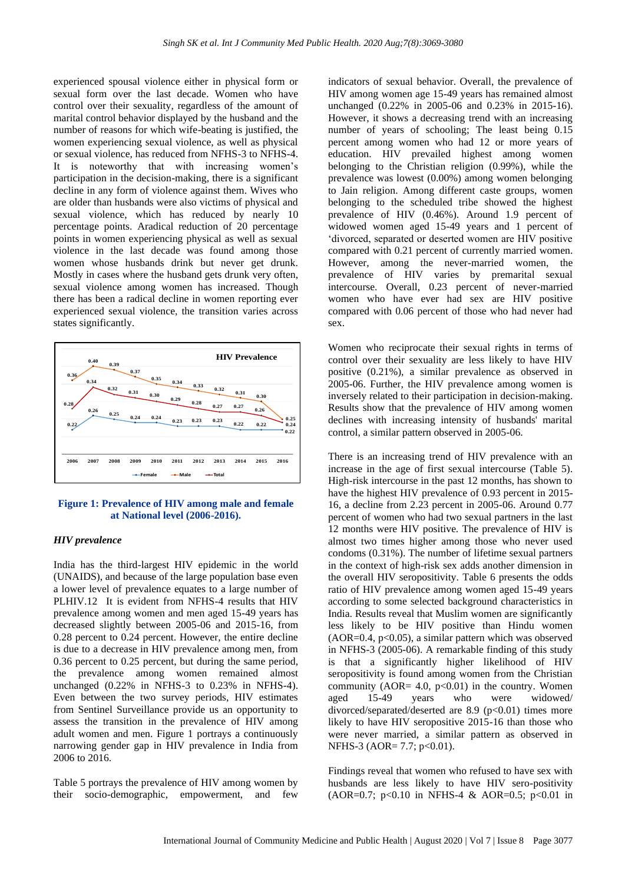experienced spousal violence either in physical form or sexual form over the last decade. Women who have control over their sexuality, regardless of the amount of marital control behavior displayed by the husband and the number of reasons for which wife-beating is justified, the women experiencing sexual violence, as well as physical or sexual violence, has reduced from NFHS-3 to NFHS-4. It is noteworthy that with increasing women's participation in the decision-making, there is a significant decline in any form of violence against them. Wives who are older than husbands were also victims of physical and sexual violence, which has reduced by nearly 10 percentage points. Aradical reduction of 20 percentage points in women experiencing physical as well as sexual violence in the last decade was found among those women whose husbands drink but never get drunk. Mostly in cases where the husband gets drunk very often, sexual violence among women has increased. Though there has been a radical decline in women reporting ever experienced sexual violence, the transition varies across states significantly.



#### **Figure 1: Prevalence of HIV among male and female at National level (2006-2016).**

#### *HIV prevalence*

India has the third-largest HIV epidemic in the world (UNAIDS), and because of the large population base even a lower level of prevalence equates to a large number of PLHIV.12 It is evident from NFHS-4 results that HIV prevalence among women and men aged 15-49 years has decreased slightly between 2005-06 and 2015-16, from 0.28 percent to 0.24 percent. However, the entire decline is due to a decrease in HIV prevalence among men, from 0.36 percent to 0.25 percent, but during the same period, the prevalence among women remained almost unchanged (0.22% in NFHS-3 to 0.23% in NFHS-4). Even between the two survey periods, HIV estimates from Sentinel Surveillance provide us an opportunity to assess the transition in the prevalence of HIV among adult women and men. Figure 1 portrays a continuously narrowing gender gap in HIV prevalence in India from 2006 to 2016.

Table 5 portrays the prevalence of HIV among women by their socio-demographic, empowerment, and few

indicators of sexual behavior. Overall, the prevalence of HIV among women age 15-49 years has remained almost unchanged (0.22% in 2005-06 and 0.23% in 2015-16). However, it shows a decreasing trend with an increasing number of years of schooling; The least being 0.15 percent among women who had 12 or more years of education. HIV prevailed highest among women belonging to the Christian religion (0.99%), while the prevalence was lowest (0.00%) among women belonging to Jain religion. Among different caste groups, women belonging to the scheduled tribe showed the highest prevalence of HIV (0.46%). Around 1.9 percent of widowed women aged 15-49 years and 1 percent of 'divorced, separated or deserted women are HIV positive compared with 0.21 percent of currently married women. However, among the never-married women, the prevalence of HIV varies by premarital sexual intercourse. Overall, 0.23 percent of never-married women who have ever had sex are HIV positive compared with 0.06 percent of those who had never had sex.

Women who reciprocate their sexual rights in terms of control over their sexuality are less likely to have HIV positive (0.21%), a similar prevalence as observed in 2005-06. Further, the HIV prevalence among women is inversely related to their participation in decision-making. Results show that the prevalence of HIV among women declines with increasing intensity of husbands' marital control, a similar pattern observed in 2005-06.

There is an increasing trend of HIV prevalence with an increase in the age of first sexual intercourse (Table 5). High-risk intercourse in the past 12 months, has shown to have the highest HIV prevalence of 0.93 percent in 2015-16, a decline from 2.23 percent in 2005-06. Around 0.77 percent of women who had two sexual partners in the last 12 months were HIV positive. The prevalence of HIV is almost two times higher among those who never used condoms (0.31%). The number of lifetime sexual partners in the context of high-risk sex adds another dimension in the overall HIV seropositivity. Table 6 presents the odds ratio of HIV prevalence among women aged 15-49 years according to some selected background characteristics in India. Results reveal that Muslim women are significantly less likely to be HIV positive than Hindu women  $(AOR=0.4, p<0.05)$ , a similar pattern which was observed in NFHS-3 (2005-06). A remarkable finding of this study is that a significantly higher likelihood of HIV seropositivity is found among women from the Christian community (AOR=  $4.0$ ,  $p<0.01$ ) in the country. Women aged 15-49 years who were widowed/ divorced/separated/deserted are 8.9 (p<0.01) times more likely to have HIV seropositive 2015-16 than those who were never married, a similar pattern as observed in NFHS-3 (AOR= 7.7;  $p<0.01$ ).

Findings reveal that women who refused to have sex with husbands are less likely to have HIV sero-positivity  $(AOR=0.7; p<0.10$  in NFHS-4 & AOR=0.5; p<0.01 in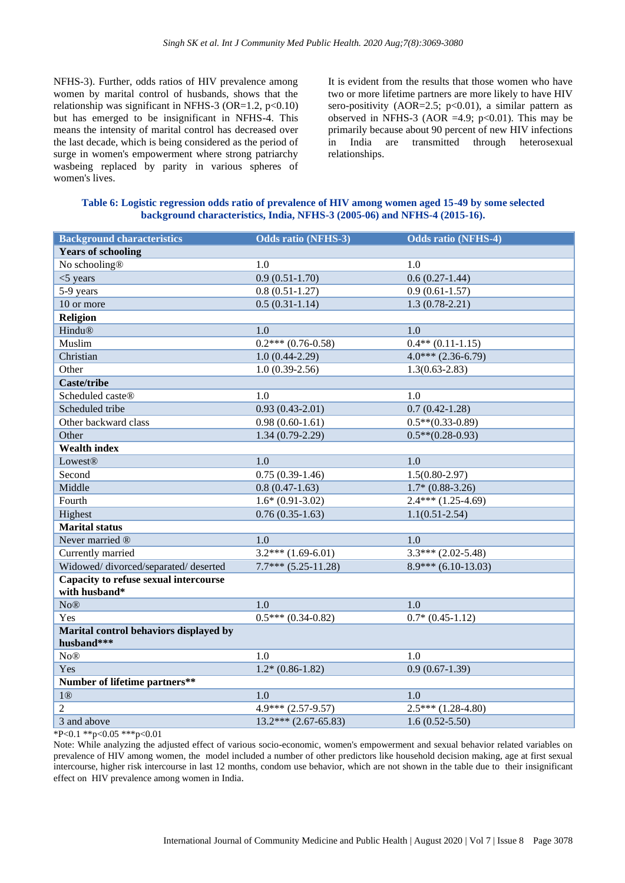NFHS-3). Further, odds ratios of HIV prevalence among women by marital control of husbands, shows that the relationship was significant in NFHS-3 (OR=1.2,  $p<0.10$ ) but has emerged to be insignificant in NFHS-4. This means the intensity of marital control has decreased over the last decade, which is being considered as the period of surge in women's empowerment where strong patriarchy wasbeing replaced by parity in various spheres of women's lives.

It is evident from the results that those women who have two or more lifetime partners are more likely to have HIV sero-positivity (AOR=2.5;  $p<0.01$ ), a similar pattern as observed in NFHS-3 (AOR =4.9;  $p<0.01$ ). This may be primarily because about 90 percent of new HIV infections in India are transmitted through heterosexual relationships.

| Table 6: Logistic regression odds ratio of prevalence of HIV among women aged 15-49 by some selected |  |
|------------------------------------------------------------------------------------------------------|--|
| background characteristics, India, NFHS-3 (2005-06) and NFHS-4 (2015-16).                            |  |

| <b>Background characteristics</b>                    | <b>Odds ratio (NFHS-3)</b> | <b>Odds ratio (NFHS-4)</b> |
|------------------------------------------------------|----------------------------|----------------------------|
| <b>Years of schooling</b>                            |                            |                            |
| No schooling®                                        | 1.0                        | 1.0                        |
| $<$ 5 years                                          | $0.9(0.51-1.70)$           | $0.6(0.27-1.44)$           |
| 5-9 years                                            | $0.8(0.51-1.27)$           | $0.9(0.61-1.57)$           |
| 10 or more                                           | $0.5(0.31-1.14)$           | $1.3(0.78-2.21)$           |
| Religion                                             |                            |                            |
| Hindu®                                               | 1.0                        | 1.0                        |
| Muslim                                               | $0.2***(0.76-0.58)$        | $0.4**$ (0.11-1.15)        |
| Christian                                            | $1.0(0.44-2.29)$           | $4.0***$ (2.36-6.79)       |
| Other                                                | $1.0(0.39-2.56)$           | $1.3(0.63 - 2.83)$         |
| <b>Caste/tribe</b>                                   |                            |                            |
| Scheduled caste®                                     | 1.0                        | 1.0                        |
| Scheduled tribe                                      | $0.93(0.43 - 2.01)$        | $0.7(0.42 - 1.28)$         |
| Other backward class                                 | $0.98(0.60-1.61)$          | $0.5**$ (0.33-0.89)        |
| Other                                                | $1.34(0.79-2.29)$          | $0.5**$ (0.28-0.93)        |
| <b>Wealth index</b>                                  |                            |                            |
| <b>Lowest®</b>                                       | 1.0                        | 1.0                        |
| Second                                               | $0.75(0.39-1.46)$          | $1.5(0.80-2.97)$           |
| Middle                                               | $0.8(0.47-1.63)$           | $1.7*(0.88-3.26)$          |
| Fourth                                               | $1.6*(0.91-3.02)$          | $2.4***(1.25-4.69)$        |
| Highest                                              | $0.76(0.35-1.63)$          | $1.1(0.51 - 2.54)$         |
| <b>Marital</b> status                                |                            |                            |
| Never married ®                                      | 1.0                        | 1.0                        |
| Currently married                                    | $3.2***(1.69-6.01)$        | $3.3***$ (2.02-5.48)       |
| Widowed/divorced/separated/deserted                  | $7.7***$ $(5.25-11.28)$    | $8.9***$ (6.10-13.03)      |
| Capacity to refuse sexual intercourse                |                            |                            |
| with husband*                                        |                            |                            |
| No@                                                  | 1.0                        | 1.0                        |
| Yes                                                  | $0.5***(0.34-0.82)$        | $0.7*(0.45-1.12)$          |
| Marital control behaviors displayed by<br>husband*** |                            |                            |
| $\text{No}\mathbb{B}$                                | 1.0                        | 1.0                        |
| Yes                                                  | $1.2*(0.86-1.82)$          | $0.9(0.67-1.39)$           |
| Number of lifetime partners**                        |                            |                            |
| 1@                                                   | 1.0                        | 1.0                        |
| $\overline{2}$                                       | $4.9***$ (2.57-9.57)       | $2.5***(1.28-4.80)$        |
| 3 and above                                          | $13.2***$ (2.67-65.83)     | $1.6(0.52 - 5.50)$         |

\*P<0.1 \*\*p<0.05 \*\*\*p<0.01

Note: While analyzing the adjusted effect of various socio-economic, women's empowerment and sexual behavior related variables on prevalence of HIV among women, the model included a number of other predictors like household decision making, age at first sexual intercourse, higher risk intercourse in last 12 months, condom use behavior, which are not shown in the table due to their insignificant effect on HIV prevalence among women in India.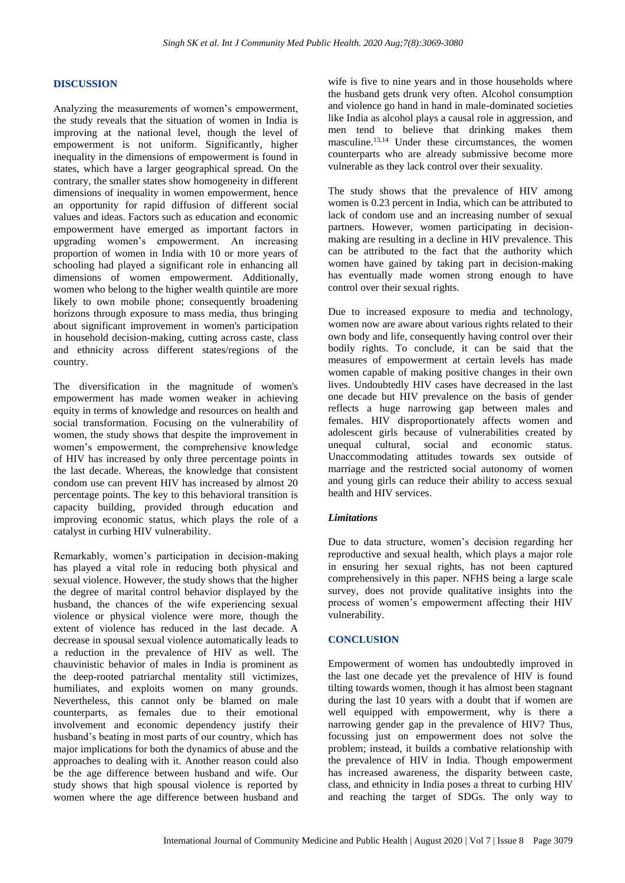## **DISCUSSION**

Analyzing the measurements of women's empowerment, the study reveals that the situation of women in India is improving at the national level, though the level of empowerment is not uniform. Significantly, higher inequality in the dimensions of empowerment is found in states, which have a larger geographical spread. On the contrary, the smaller states show homogeneity in different dimensions of inequality in women empowerment, hence an opportunity for rapid diffusion of different social values and ideas. Factors such as education and economic empowerment have emerged as important factors in upgrading women's empowerment. An increasing proportion of women in India with 10 or more years of schooling had played a significant role in enhancing all dimensions of women empowerment. Additionally, women who belong to the higher wealth quintile are more likely to own mobile phone; consequently broadening horizons through exposure to mass media, thus bringing about significant improvement in women's participation in household decision-making, cutting across caste, class and ethnicity across different states/regions of the country.

The diversification in the magnitude of women's empowerment has made women weaker in achieving equity in terms of knowledge and resources on health and social transformation. Focusing on the vulnerability of women, the study shows that despite the improvement in women's empowerment, the comprehensive knowledge of HIV has increased by only three percentage points in the last decade. Whereas, the knowledge that consistent condom use can prevent HIV has increased by almost 20 percentage points. The key to this behavioral transition is capacity building, provided through education and improving economic status, which plays the role of a catalyst in curbing HIV vulnerability.

Remarkably, women's participation in decision-making has played a vital role in reducing both physical and sexual violence. However, the study shows that the higher the degree of marital control behavior displayed by the husband, the chances of the wife experiencing sexual violence or physical violence were more, though the extent of violence has reduced in the last decade. A decrease in spousal sexual violence automatically leads to a reduction in the prevalence of HIV as well. The chauvinistic behavior of males in India is prominent as the deep-rooted patriarchal mentality still victimizes, humiliates, and exploits women on many grounds. Nevertheless, this cannot only be blamed on male counterparts, as females due to their emotional involvement and economic dependency justify their husband's beating in most parts of our country, which has major implications for both the dynamics of abuse and the approaches to dealing with it. Another reason could also be the age difference between husband and wife. Our study shows that high spousal violence is reported by women where the age difference between husband and

wife is five to nine years and in those households where the husband gets drunk very often. Alcohol consumption and violence go hand in hand in male-dominated societies like India as alcohol plays a causal role in aggression, and men tend to believe that drinking makes them masculine. 13,14 Under these circumstances, the women counterparts who are already submissive become more vulnerable as they lack control over their sexuality.

The study shows that the prevalence of HIV among women is 0.23 percent in India, which can be attributed to lack of condom use and an increasing number of sexual partners. However, women participating in decisionmaking are resulting in a decline in HIV prevalence. This can be attributed to the fact that the authority which women have gained by taking part in decision-making has eventually made women strong enough to have control over their sexual rights.

Due to increased exposure to media and technology, women now are aware about various rights related to their own body and life, consequently having control over their bodily rights. To conclude, it can be said that the measures of empowerment at certain levels has made women capable of making positive changes in their own lives. Undoubtedly HIV cases have decreased in the last one decade but HIV prevalence on the basis of gender reflects a huge narrowing gap between males and females. HIV disproportionately affects women and adolescent girls because of vulnerabilities created by unequal cultural, social and economic status. Unaccommodating attitudes towards sex outside of marriage and the restricted social autonomy of women and young girls can reduce their ability to access sexual health and HIV services.

#### *Limitations*

Due to data structure, women's decision regarding her reproductive and sexual health, which plays a major role in ensuring her sexual rights, has not been captured comprehensively in this paper. NFHS being a large scale survey, does not provide qualitative insights into the process of women's empowerment affecting their HIV vulnerability.

# **CONCLUSION**

Empowerment of women has undoubtedly improved in the last one decade yet the prevalence of HIV is found tilting towards women, though it has almost been stagnant during the last 10 years with a doubt that if women are well equipped with empowerment, why is there a narrowing gender gap in the prevalence of HIV? Thus, focussing just on empowerment does not solve the problem; instead, it builds a combative relationship with the prevalence of HIV in India. Though empowerment has increased awareness, the disparity between caste, class, and ethnicity in India poses a threat to curbing HIV and reaching the target of SDGs. The only way to